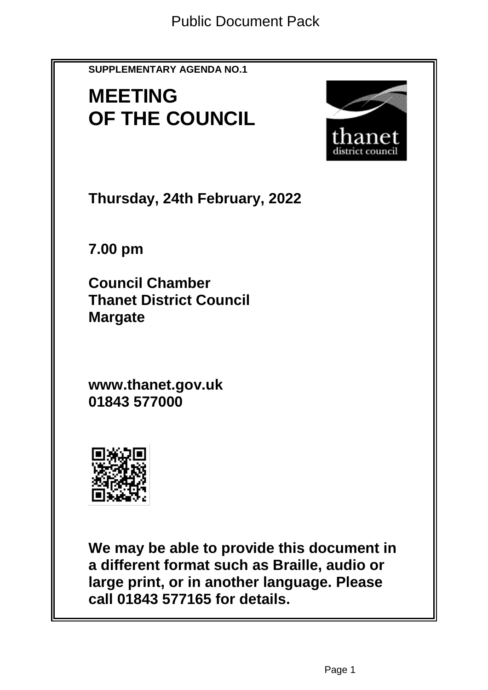**SUPPLEMENTARY AGENDA NO.1**

# **MEETING OF THE COUNCIL**



**Thursday, 24th February, 2022**

**7.00 pm**

**Council Chamber Thanet District Council Margate**

**www.thanet.gov.uk 01843 577000**



**We may be able to provide this document in a different format such as Braille, audio or large print, or in another language. Please call 01843 577165 for details.**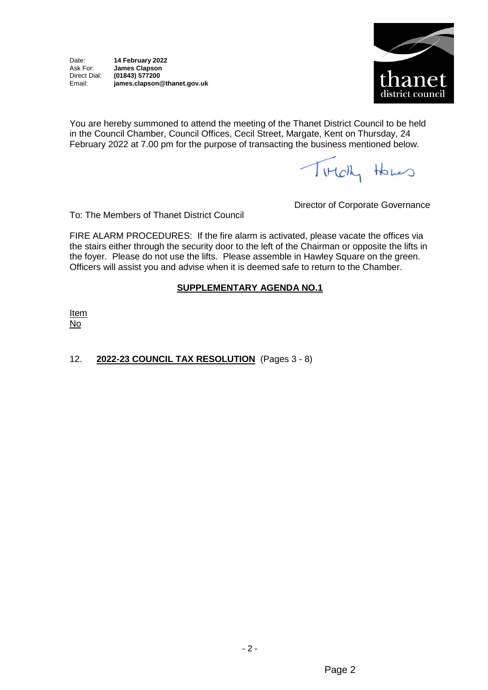

You are hereby summoned to attend the meeting of the Thanet District Council to be held in the Council Chamber, Council Offices, Cecil Street, Margate, Kent on Thursday, 24 February 2022 at 7.00 pm for the purpose of transacting the business mentioned below.

Titch Homes

To: The Members of Thanet District Council

Director of Corporate Governance

FIRE ALARM PROCEDURES: If the fire alarm is activated, please vacate the offices via the stairs either through the security door to the left of the Chairman or opposite the lifts in the foyer. Please do not use the lifts. Please assemble in Hawley Square on the green. Officers will assist you and advise when it is deemed safe to return to the Chamber.

### **SUPPLEMENTARY AGENDA NO.1**

**Item** No

## 12. **2022-23 COUNCIL TAX RESOLUTION** (Pages 3 - 8)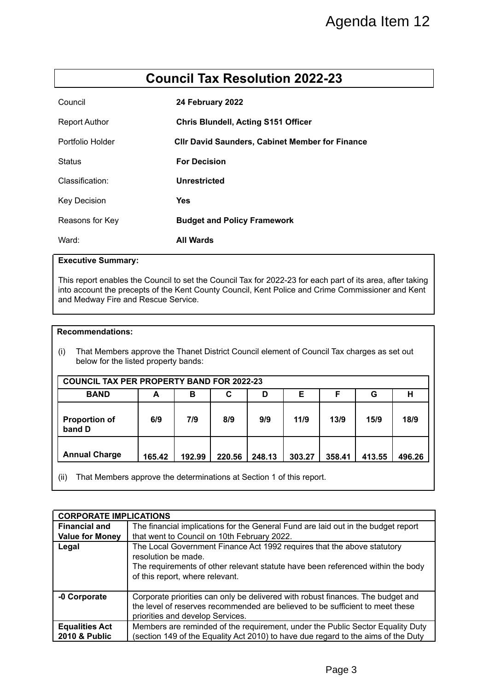# **Council Tax Resolution 2022-23**

| Council              | 24 February 2022                                       |
|----------------------|--------------------------------------------------------|
| <b>Report Author</b> | <b>Chris Blundell, Acting S151 Officer</b>             |
| Portfolio Holder     | <b>CIIr David Saunders, Cabinet Member for Finance</b> |
| <b>Status</b>        | <b>For Decision</b>                                    |
| Classification:      | Unrestricted                                           |
| <b>Key Decision</b>  | Yes                                                    |
| Reasons for Key      | <b>Budget and Policy Framework</b>                     |
| Ward:                | <b>All Wards</b>                                       |

#### **Executive Summary:**

#### **Recommendations:**

| <b>COUNCIL TAX PER PROPERTY BAND FOR 2022-23</b> |        |        |        |        |        |        |        |        |  |  |
|--------------------------------------------------|--------|--------|--------|--------|--------|--------|--------|--------|--|--|
| <b>BAND</b>                                      | А      | в      | С      | D      | Е      | F      | G      | н      |  |  |
| <b>Proportion of</b><br>band D                   | 6/9    | 7/9    | 8/9    | 9/9    | 11/9   | 13/9   | 15/9   | 18/9   |  |  |
| <b>Annual Charge</b>                             | 165.42 | 192.99 | 220.56 | 248.13 | 303.27 | 358.41 | 413.55 | 496.26 |  |  |

|                                                                                                                                                                                                                                                        |                                                                                                                                                                                                                                                                     |                     |                                                        |        |        |        |        | Agenda Item 12 |  |  |  |
|--------------------------------------------------------------------------------------------------------------------------------------------------------------------------------------------------------------------------------------------------------|---------------------------------------------------------------------------------------------------------------------------------------------------------------------------------------------------------------------------------------------------------------------|---------------------|--------------------------------------------------------|--------|--------|--------|--------|----------------|--|--|--|
|                                                                                                                                                                                                                                                        |                                                                                                                                                                                                                                                                     |                     |                                                        |        |        |        |        |                |  |  |  |
| <b>Council Tax Resolution 2022-23</b>                                                                                                                                                                                                                  |                                                                                                                                                                                                                                                                     |                     |                                                        |        |        |        |        |                |  |  |  |
| Council                                                                                                                                                                                                                                                |                                                                                                                                                                                                                                                                     |                     | 24 February 2022                                       |        |        |        |        |                |  |  |  |
| <b>Report Author</b>                                                                                                                                                                                                                                   |                                                                                                                                                                                                                                                                     |                     | <b>Chris Blundell, Acting S151 Officer</b>             |        |        |        |        |                |  |  |  |
| Portfolio Holder                                                                                                                                                                                                                                       |                                                                                                                                                                                                                                                                     |                     | <b>Cllr David Saunders, Cabinet Member for Finance</b> |        |        |        |        |                |  |  |  |
| <b>Status</b>                                                                                                                                                                                                                                          |                                                                                                                                                                                                                                                                     | <b>For Decision</b> |                                                        |        |        |        |        |                |  |  |  |
| Classification:                                                                                                                                                                                                                                        |                                                                                                                                                                                                                                                                     | <b>Unrestricted</b> |                                                        |        |        |        |        |                |  |  |  |
| <b>Key Decision</b>                                                                                                                                                                                                                                    |                                                                                                                                                                                                                                                                     | <b>Yes</b>          |                                                        |        |        |        |        |                |  |  |  |
| Reasons for Key                                                                                                                                                                                                                                        |                                                                                                                                                                                                                                                                     |                     | <b>Budget and Policy Framework</b>                     |        |        |        |        |                |  |  |  |
| Ward:                                                                                                                                                                                                                                                  |                                                                                                                                                                                                                                                                     | <b>All Wards</b>    |                                                        |        |        |        |        |                |  |  |  |
| This report enables the Council to set the Council Tax for 2022-23 for each part of its area, after taking<br>into account the precepts of the Kent County Council, Kent Police and Crime Commissioner and Kent<br>and Medway Fire and Rescue Service. |                                                                                                                                                                                                                                                                     |                     |                                                        |        |        |        |        |                |  |  |  |
| <b>Recommendations:</b><br>That Members approve the Thanet District Council element of Council Tax charges as set out<br>(i)<br>below for the listed property bands:<br><b>COUNCIL TAX PER PROPERTY BAND FOR 2022-23</b>                               |                                                                                                                                                                                                                                                                     |                     |                                                        |        |        |        |        |                |  |  |  |
| <b>BAND</b>                                                                                                                                                                                                                                            | A                                                                                                                                                                                                                                                                   | в                   | C                                                      | D      | E.     | F      | G      | н              |  |  |  |
| <b>Proportion of</b><br>band D                                                                                                                                                                                                                         | 6/9                                                                                                                                                                                                                                                                 | 7/9                 | 8/9                                                    | 9/9    | 11/9   | 13/9   | 15/9   | 18/9           |  |  |  |
| <b>Annual Charge</b>                                                                                                                                                                                                                                   | 165.42                                                                                                                                                                                                                                                              | 192.99              | 220.56                                                 | 248.13 | 303.27 | 358.41 | 413.55 | 496.26         |  |  |  |
| (ii)<br>That Members approve the determinations at Section 1 of this report.                                                                                                                                                                           |                                                                                                                                                                                                                                                                     |                     |                                                        |        |        |        |        |                |  |  |  |
|                                                                                                                                                                                                                                                        |                                                                                                                                                                                                                                                                     |                     |                                                        |        |        |        |        |                |  |  |  |
| <b>CORPORATE IMPLICATIONS</b>                                                                                                                                                                                                                          |                                                                                                                                                                                                                                                                     |                     |                                                        |        |        |        |        |                |  |  |  |
| <b>Financial and</b><br><b>Value for Money</b>                                                                                                                                                                                                         | The financial implications for the General Fund are laid out in the budget report                                                                                                                                                                                   |                     |                                                        |        |        |        |        |                |  |  |  |
| Legal                                                                                                                                                                                                                                                  | that went to Council on 10th February 2022.<br>The Local Government Finance Act 1992 requires that the above statutory<br>resolution be made.<br>The requirements of other relevant statute have been referenced within the body<br>of this report, where relevant. |                     |                                                        |        |        |        |        |                |  |  |  |
| -0 Corporate                                                                                                                                                                                                                                           | Corporate priorities can only be delivered with robust finances. The budget and<br>the level of reserves recommended are believed to be sufficient to meet these<br>priorities and develop Services.                                                                |                     |                                                        |        |        |        |        |                |  |  |  |
| <b>Equalities Act</b><br>2010 & Public                                                                                                                                                                                                                 | Members are reminded of the requirement, under the Public Sector Equality Duty<br>(section 149 of the Equality Act 2010) to have due regard to the aims of the Duty                                                                                                 |                     |                                                        |        |        |        |        |                |  |  |  |
|                                                                                                                                                                                                                                                        |                                                                                                                                                                                                                                                                     |                     |                                                        |        |        | Page 3 |        |                |  |  |  |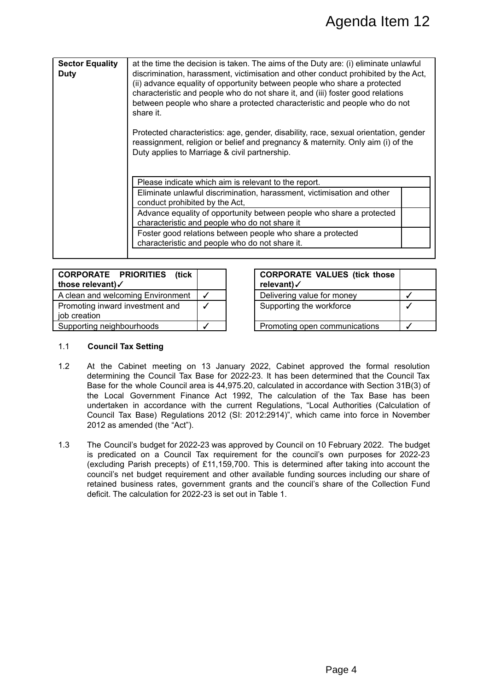|              |                                                                                                                                                                                                                                                                                                                                                                                                                                                                                                                                              |                                                                                                                                                                                                                                                                                                                                                                                                                                                                                                                                                                                                                                                                                                                                                                                                                                                                                                                                                                                                                           |              | Agenda Item 12                                                                                                                                                                                                                                                                                                                                                                                                                                                       |              |  |  |  |  |
|--------------|----------------------------------------------------------------------------------------------------------------------------------------------------------------------------------------------------------------------------------------------------------------------------------------------------------------------------------------------------------------------------------------------------------------------------------------------------------------------------------------------------------------------------------------------|---------------------------------------------------------------------------------------------------------------------------------------------------------------------------------------------------------------------------------------------------------------------------------------------------------------------------------------------------------------------------------------------------------------------------------------------------------------------------------------------------------------------------------------------------------------------------------------------------------------------------------------------------------------------------------------------------------------------------------------------------------------------------------------------------------------------------------------------------------------------------------------------------------------------------------------------------------------------------------------------------------------------------|--------------|----------------------------------------------------------------------------------------------------------------------------------------------------------------------------------------------------------------------------------------------------------------------------------------------------------------------------------------------------------------------------------------------------------------------------------------------------------------------|--------------|--|--|--|--|
|              |                                                                                                                                                                                                                                                                                                                                                                                                                                                                                                                                              |                                                                                                                                                                                                                                                                                                                                                                                                                                                                                                                                                                                                                                                                                                                                                                                                                                                                                                                                                                                                                           |              |                                                                                                                                                                                                                                                                                                                                                                                                                                                                      |              |  |  |  |  |
| <b>Duty</b>  | <b>Sector Equality</b>                                                                                                                                                                                                                                                                                                                                                                                                                                                                                                                       | at the time the decision is taken. The aims of the Duty are: (i) eliminate unlawful<br>discrimination, harassment, victimisation and other conduct prohibited by the Act,<br>(ii) advance equality of opportunity between people who share a protected<br>characteristic and people who do not share it, and (iii) foster good relations<br>between people who share a protected characteristic and people who do not<br>share it.<br>Protected characteristics: age, gender, disability, race, sexual orientation, gender<br>reassignment, religion or belief and pregnancy & maternity. Only aim (i) of the<br>Duty applies to Marriage & civil partnership.<br>Please indicate which aim is relevant to the report.<br>Eliminate unlawful discrimination, harassment, victimisation and other<br>conduct prohibited by the Act,<br>Advance equality of opportunity between people who share a protected<br>characteristic and people who do not share it<br>Foster good relations between people who share a protected |              |                                                                                                                                                                                                                                                                                                                                                                                                                                                                      |              |  |  |  |  |
|              |                                                                                                                                                                                                                                                                                                                                                                                                                                                                                                                                              | characteristic and people who do not share it.                                                                                                                                                                                                                                                                                                                                                                                                                                                                                                                                                                                                                                                                                                                                                                                                                                                                                                                                                                            |              |                                                                                                                                                                                                                                                                                                                                                                                                                                                                      |              |  |  |  |  |
|              |                                                                                                                                                                                                                                                                                                                                                                                                                                                                                                                                              |                                                                                                                                                                                                                                                                                                                                                                                                                                                                                                                                                                                                                                                                                                                                                                                                                                                                                                                                                                                                                           |              |                                                                                                                                                                                                                                                                                                                                                                                                                                                                      |              |  |  |  |  |
|              | <b>CORPORATE</b><br>those relevant)√                                                                                                                                                                                                                                                                                                                                                                                                                                                                                                         | <b>PRIORITIES</b><br>(tick                                                                                                                                                                                                                                                                                                                                                                                                                                                                                                                                                                                                                                                                                                                                                                                                                                                                                                                                                                                                |              | <b>CORPORATE VALUES (tick those</b><br>relevant)√                                                                                                                                                                                                                                                                                                                                                                                                                    |              |  |  |  |  |
|              |                                                                                                                                                                                                                                                                                                                                                                                                                                                                                                                                              | A clean and welcoming Environment                                                                                                                                                                                                                                                                                                                                                                                                                                                                                                                                                                                                                                                                                                                                                                                                                                                                                                                                                                                         | $\checkmark$ | Delivering value for money                                                                                                                                                                                                                                                                                                                                                                                                                                           | $\checkmark$ |  |  |  |  |
|              |                                                                                                                                                                                                                                                                                                                                                                                                                                                                                                                                              | Promoting inward investment and                                                                                                                                                                                                                                                                                                                                                                                                                                                                                                                                                                                                                                                                                                                                                                                                                                                                                                                                                                                           | $\checkmark$ | Supporting the workforce                                                                                                                                                                                                                                                                                                                                                                                                                                             |              |  |  |  |  |
| job creation | Supporting neighbourhoods                                                                                                                                                                                                                                                                                                                                                                                                                                                                                                                    |                                                                                                                                                                                                                                                                                                                                                                                                                                                                                                                                                                                                                                                                                                                                                                                                                                                                                                                                                                                                                           | $\checkmark$ | Promoting open communications                                                                                                                                                                                                                                                                                                                                                                                                                                        | ✓            |  |  |  |  |
| 1.1<br>1.2   | <b>Council Tax Setting</b>                                                                                                                                                                                                                                                                                                                                                                                                                                                                                                                   |                                                                                                                                                                                                                                                                                                                                                                                                                                                                                                                                                                                                                                                                                                                                                                                                                                                                                                                                                                                                                           |              | At the Cabinet meeting on 13 January 2022, Cabinet approved the formal resolution                                                                                                                                                                                                                                                                                                                                                                                    |              |  |  |  |  |
|              |                                                                                                                                                                                                                                                                                                                                                                                                                                                                                                                                              | 2012 as amended (the "Act").                                                                                                                                                                                                                                                                                                                                                                                                                                                                                                                                                                                                                                                                                                                                                                                                                                                                                                                                                                                              |              | determining the Council Tax Base for 2022-23. It has been determined that the Council Tax<br>Base for the whole Council area is 44,975.20, calculated in accordance with Section 31B(3) of<br>the Local Government Finance Act 1992, The calculation of the Tax Base has been<br>undertaken in accordance with the current Regulations, "Local Authorities (Calculation of<br>Council Tax Base) Regulations 2012 (SI: 2012:2914)", which came into force in November |              |  |  |  |  |
| 1.3          | The Council's budget for 2022-23 was approved by Council on 10 February 2022. The budget<br>is predicated on a Council Tax requirement for the council's own purposes for 2022-23<br>(excluding Parish precepts) of £11,159,700. This is determined after taking into account the<br>council's net budget requirement and other available funding sources including our share of<br>retained business rates, government grants and the council's share of the Collection Fund<br>deficit. The calculation for 2022-23 is set out in Table 1. |                                                                                                                                                                                                                                                                                                                                                                                                                                                                                                                                                                                                                                                                                                                                                                                                                                                                                                                                                                                                                           |              |                                                                                                                                                                                                                                                                                                                                                                                                                                                                      |              |  |  |  |  |
|              |                                                                                                                                                                                                                                                                                                                                                                                                                                                                                                                                              |                                                                                                                                                                                                                                                                                                                                                                                                                                                                                                                                                                                                                                                                                                                                                                                                                                                                                                                                                                                                                           |              |                                                                                                                                                                                                                                                                                                                                                                                                                                                                      |              |  |  |  |  |
|              |                                                                                                                                                                                                                                                                                                                                                                                                                                                                                                                                              |                                                                                                                                                                                                                                                                                                                                                                                                                                                                                                                                                                                                                                                                                                                                                                                                                                                                                                                                                                                                                           |              |                                                                                                                                                                                                                                                                                                                                                                                                                                                                      |              |  |  |  |  |
|              |                                                                                                                                                                                                                                                                                                                                                                                                                                                                                                                                              |                                                                                                                                                                                                                                                                                                                                                                                                                                                                                                                                                                                                                                                                                                                                                                                                                                                                                                                                                                                                                           |              |                                                                                                                                                                                                                                                                                                                                                                                                                                                                      |              |  |  |  |  |
|              |                                                                                                                                                                                                                                                                                                                                                                                                                                                                                                                                              |                                                                                                                                                                                                                                                                                                                                                                                                                                                                                                                                                                                                                                                                                                                                                                                                                                                                                                                                                                                                                           |              |                                                                                                                                                                                                                                                                                                                                                                                                                                                                      |              |  |  |  |  |
|              |                                                                                                                                                                                                                                                                                                                                                                                                                                                                                                                                              |                                                                                                                                                                                                                                                                                                                                                                                                                                                                                                                                                                                                                                                                                                                                                                                                                                                                                                                                                                                                                           |              | Page 4                                                                                                                                                                                                                                                                                                                                                                                                                                                               |              |  |  |  |  |

| <b>CORPORATE PRIORITIES (tick)</b><br>those relevant)√ | <b>CORPORATE VALUES (tick those</b><br>relevant)√ |  |
|--------------------------------------------------------|---------------------------------------------------|--|
| A clean and welcoming Environment                      | Delivering value for money                        |  |
| Promoting inward investment and<br>job creation        | Supporting the workforce                          |  |
| Supporting neighbourhoods                              | Promoting open communications                     |  |

|  | <b>CORPORATE VALUES (tick those</b><br>relevant)√ |  |
|--|---------------------------------------------------|--|
|  | Delivering value for money                        |  |
|  | Supporting the workforce                          |  |
|  | Promoting open communications                     |  |

#### 1.1 **Council Tax Setting**

- 1.2 At the Cabinet meeting on 13 January 2022, Cabinet approved the formal resolution determining the Council Tax Base for 2022-23. It has been determined that the Council Tax Base for the whole Council area is 44,975.20, calculated in accordance with Section 31B(3) of the Local Government Finance Act 1992, The calculation of the Tax Base has been undertaken in accordance with the current Regulations, "Local Authorities (Calculation of Council Tax Base) Regulations 2012 (SI: 2012:2914)", which came into force in November 2012 as amended (the "Act").
- 1.3 The Council's budget for 2022-23 was approved by Council on 10 February 2022. The budget is predicated on a Council Tax requirement for the council's own purposes for 2022-23 (excluding Parish precepts) of £11,159,700. This is determined after taking into account the council's net budget requirement and other available funding sources including our share of retained business rates, government grants and the council's share of the Collection Fund deficit. The calculation for 2022-23 is set out in Table 1.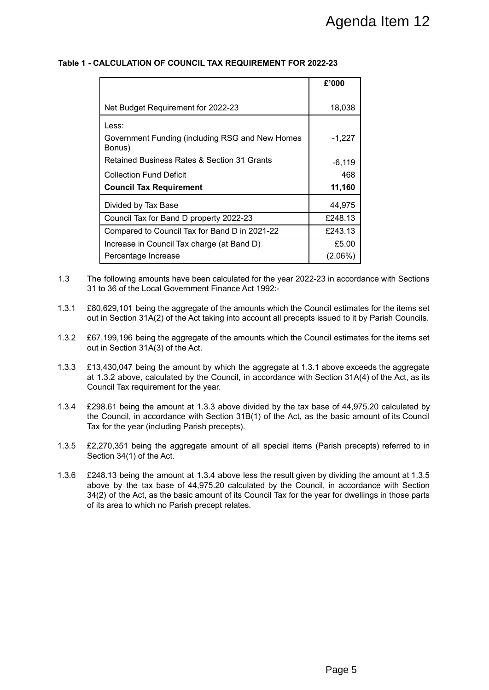#### **Table 1 - CALCULATION OF COUNCIL TAX REQUIREMENT FOR 2022-23**

|                                                                                                                                                                                                                                                                                                                                                                                                                                                                                                                                                                                                                                                                                                                                                                                                                                                                                                                                                                                                                                                                    |            | Agenda Item 12 |
|--------------------------------------------------------------------------------------------------------------------------------------------------------------------------------------------------------------------------------------------------------------------------------------------------------------------------------------------------------------------------------------------------------------------------------------------------------------------------------------------------------------------------------------------------------------------------------------------------------------------------------------------------------------------------------------------------------------------------------------------------------------------------------------------------------------------------------------------------------------------------------------------------------------------------------------------------------------------------------------------------------------------------------------------------------------------|------------|----------------|
| <b>ALCULATION OF COUNCIL TAX REQUIREMENT FOR 2022-23</b>                                                                                                                                                                                                                                                                                                                                                                                                                                                                                                                                                                                                                                                                                                                                                                                                                                                                                                                                                                                                           |            |                |
|                                                                                                                                                                                                                                                                                                                                                                                                                                                                                                                                                                                                                                                                                                                                                                                                                                                                                                                                                                                                                                                                    | £'000      |                |
| Net Budget Requirement for 2022-23                                                                                                                                                                                                                                                                                                                                                                                                                                                                                                                                                                                                                                                                                                                                                                                                                                                                                                                                                                                                                                 | 18,038     |                |
| Less:<br>Government Funding (including RSG and New Homes<br>Bonus)                                                                                                                                                                                                                                                                                                                                                                                                                                                                                                                                                                                                                                                                                                                                                                                                                                                                                                                                                                                                 | $-1,227$   |                |
| Retained Business Rates & Section 31 Grants                                                                                                                                                                                                                                                                                                                                                                                                                                                                                                                                                                                                                                                                                                                                                                                                                                                                                                                                                                                                                        | $-6,119$   |                |
| <b>Collection Fund Deficit</b>                                                                                                                                                                                                                                                                                                                                                                                                                                                                                                                                                                                                                                                                                                                                                                                                                                                                                                                                                                                                                                     | 468        |                |
| <b>Council Tax Requirement</b>                                                                                                                                                                                                                                                                                                                                                                                                                                                                                                                                                                                                                                                                                                                                                                                                                                                                                                                                                                                                                                     | 11,160     |                |
| Divided by Tax Base                                                                                                                                                                                                                                                                                                                                                                                                                                                                                                                                                                                                                                                                                                                                                                                                                                                                                                                                                                                                                                                | 44,975     |                |
| Council Tax for Band D property 2022-23                                                                                                                                                                                                                                                                                                                                                                                                                                                                                                                                                                                                                                                                                                                                                                                                                                                                                                                                                                                                                            | £248.13    |                |
| Compared to Council Tax for Band D in 2021-22                                                                                                                                                                                                                                                                                                                                                                                                                                                                                                                                                                                                                                                                                                                                                                                                                                                                                                                                                                                                                      | £243.13    |                |
| Increase in Council Tax charge (at Band D)                                                                                                                                                                                                                                                                                                                                                                                                                                                                                                                                                                                                                                                                                                                                                                                                                                                                                                                                                                                                                         | £5.00      |                |
| Percentage Increase                                                                                                                                                                                                                                                                                                                                                                                                                                                                                                                                                                                                                                                                                                                                                                                                                                                                                                                                                                                                                                                | $(2.06\%)$ |                |
| 199,196 being the aggregate of the amounts which the Council estimates for the items set<br>in Section 31A(3) of the Act.<br>3,430,047 being the amount by which the aggregate at 1.3.1 above exceeds the aggregate<br>1.3.2 above, calculated by the Council, in accordance with Section 31A(4) of the Act, as its<br>uncil Tax requirement for the year.<br>98.61 being the amount at 1.3.3 above divided by the tax base of 44,975.20 calculated by<br>Council, in accordance with Section 31B(1) of the Act, as the basic amount of its Council<br>for the year (including Parish precepts).<br>270,351 being the aggregate amount of all special items (Parish precepts) referred to in<br>ction 34(1) of the Act.<br>18.13 being the amount at 1.3.4 above less the result given by dividing the amount at 1.3.5<br>ove by the tax base of 44,975.20 calculated by the Council, in accordance with Section<br>2) of the Act, as the basic amount of its Council Tax for the year for dwellings in those parts<br>ts area to which no Parish precept relates. |            |                |
|                                                                                                                                                                                                                                                                                                                                                                                                                                                                                                                                                                                                                                                                                                                                                                                                                                                                                                                                                                                                                                                                    |            |                |
|                                                                                                                                                                                                                                                                                                                                                                                                                                                                                                                                                                                                                                                                                                                                                                                                                                                                                                                                                                                                                                                                    | Page 5     |                |

- 1.3 The following amounts have been calculated for the year 2022-23 in accordance with Sections 31 to 36 of the Local Government Finance Act 1992:-
- 1.3.1 £80,629,101 being the aggregate of the amounts which the Council estimates for the items set out in Section 31A(2) of the Act taking into account all precepts issued to it by Parish Councils.
- 1.3.2 £67,199,196 being the aggregate of the amounts which the Council estimates for the items set out in Section 31A(3) of the Act.
- 1.3.3 £13,430,047 being the amount by which the aggregate at 1.3.1 above exceeds the aggregate at 1.3.2 above, calculated by the Council, in accordance with Section 31A(4) of the Act, as its Council Tax requirement for the year.
- 1.3.4 £298.61 being the amount at 1.3.3 above divided by the tax base of 44,975.20 calculated by the Council, in accordance with Section 31B(1) of the Act, as the basic amount of its Council Tax for the year (including Parish precepts).
- 1.3.5 £2,270,351 being the aggregate amount of all special items (Parish precepts) referred to in Section 34(1) of the Act.
- 1.3.6 £248.13 being the amount at 1.3.4 above less the result given by dividing the amount at 1.3.5 above by the tax base of 44,975.20 calculated by the Council, in accordance with Section 34(2) of the Act, as the basic amount of its Council Tax for the year for dwellings in those parts of its area to which no Parish precept relates.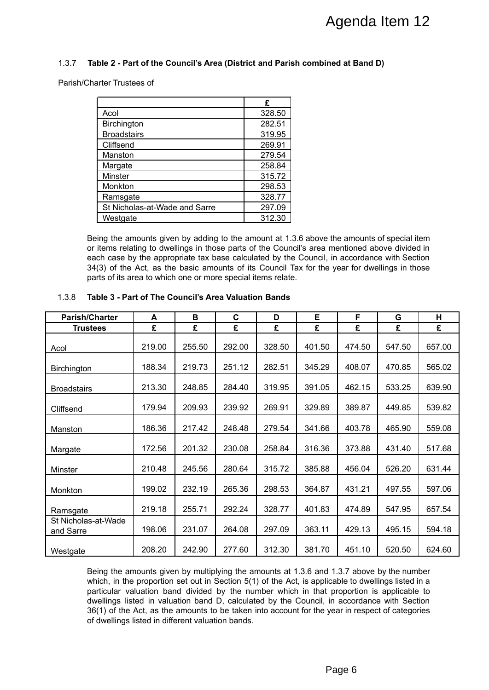#### 1.3.7 **Table 2 - Part of the Council's Area (District and Parish combined at Band D)**

|                               | £      |
|-------------------------------|--------|
| Acol                          | 328.50 |
| Birchington                   | 282.51 |
| <b>Broadstairs</b>            | 319.95 |
| Cliffsend                     | 269.91 |
| Manston                       | 279.54 |
| Margate                       | 258.84 |
| <b>Minster</b>                | 315.72 |
| Monkton                       | 298.53 |
| Ramsgate                      | 328.77 |
| St Nicholas-at-Wade and Sarre | 297.09 |
| Westgate                      | 312.30 |

|                                                                                                                                                                                                                                                                                                                                                                                                                                                                                                                                                      |                               |        |        |                  |        |        | Agenda Item 12 |        |
|------------------------------------------------------------------------------------------------------------------------------------------------------------------------------------------------------------------------------------------------------------------------------------------------------------------------------------------------------------------------------------------------------------------------------------------------------------------------------------------------------------------------------------------------------|-------------------------------|--------|--------|------------------|--------|--------|----------------|--------|
| 1.3.7<br>Table 2 - Part of the Council's Area (District and Parish combined at Band D)                                                                                                                                                                                                                                                                                                                                                                                                                                                               |                               |        |        |                  |        |        |                |        |
| Parish/Charter Trustees of                                                                                                                                                                                                                                                                                                                                                                                                                                                                                                                           |                               |        |        |                  |        |        |                |        |
|                                                                                                                                                                                                                                                                                                                                                                                                                                                                                                                                                      |                               |        |        |                  |        |        |                |        |
|                                                                                                                                                                                                                                                                                                                                                                                                                                                                                                                                                      |                               |        |        | £                |        |        |                |        |
| Acol                                                                                                                                                                                                                                                                                                                                                                                                                                                                                                                                                 |                               |        |        | 328.50           |        |        |                |        |
| <b>Birchington</b>                                                                                                                                                                                                                                                                                                                                                                                                                                                                                                                                   |                               |        |        | 282.51           |        |        |                |        |
| <b>Broadstairs</b>                                                                                                                                                                                                                                                                                                                                                                                                                                                                                                                                   |                               |        |        | 319.95           |        |        |                |        |
| Cliffsend                                                                                                                                                                                                                                                                                                                                                                                                                                                                                                                                            |                               |        |        | 269.91           |        |        |                |        |
| Manston                                                                                                                                                                                                                                                                                                                                                                                                                                                                                                                                              |                               |        |        | 279.54<br>258.84 |        |        |                |        |
| Margate<br>Minster                                                                                                                                                                                                                                                                                                                                                                                                                                                                                                                                   |                               |        |        | 315.72           |        |        |                |        |
| Monkton                                                                                                                                                                                                                                                                                                                                                                                                                                                                                                                                              |                               |        |        | 298.53           |        |        |                |        |
| Ramsgate                                                                                                                                                                                                                                                                                                                                                                                                                                                                                                                                             |                               |        |        | 328.77           |        |        |                |        |
|                                                                                                                                                                                                                                                                                                                                                                                                                                                                                                                                                      | St Nicholas-at-Wade and Sarre |        |        | 297.09           |        |        |                |        |
| Westgate                                                                                                                                                                                                                                                                                                                                                                                                                                                                                                                                             |                               |        |        | 312.30           |        |        |                |        |
|                                                                                                                                                                                                                                                                                                                                                                                                                                                                                                                                                      |                               |        |        |                  |        |        |                |        |
| Being the amounts given by adding to the amount at 1.3.6 above the amounts of special item<br>or items relating to dwellings in those parts of the Council's area mentioned above divided in<br>each case by the appropriate tax base calculated by the Council, in accordance with Section<br>34(3) of the Act, as the basic amounts of its Council Tax for the year for dwellings in those<br>parts of its area to which one or more special items relate.<br>1.3.8<br>Table 3 - Part of The Council's Area Valuation Bands                        |                               |        |        |                  |        |        |                |        |
| <b>Parish/Charter</b>                                                                                                                                                                                                                                                                                                                                                                                                                                                                                                                                | A                             | в      | C      | D                | Е      | F      | G              | н      |
| <b>Trustees</b>                                                                                                                                                                                                                                                                                                                                                                                                                                                                                                                                      | £                             | £      | £      | £                | £      | £      | £              | £      |
| Acol                                                                                                                                                                                                                                                                                                                                                                                                                                                                                                                                                 | 219.00                        | 255.50 | 292.00 | 328.50           | 401.50 | 474.50 | 547.50         | 657.00 |
| Birchington                                                                                                                                                                                                                                                                                                                                                                                                                                                                                                                                          | 188.34                        | 219.73 | 251.12 | 282.51           | 345.29 | 408.07 | 470.85         | 565.02 |
| <b>Broadstairs</b>                                                                                                                                                                                                                                                                                                                                                                                                                                                                                                                                   | 213.30                        | 248.85 | 284.40 | 319.95           | 391.05 | 462.15 | 533.25         | 639.90 |
| Cliffsend                                                                                                                                                                                                                                                                                                                                                                                                                                                                                                                                            | 179.94                        | 209.93 | 239.92 | 269.91           | 329.89 | 389.87 | 449.85         | 539.82 |
| Manston                                                                                                                                                                                                                                                                                                                                                                                                                                                                                                                                              | 186.36                        | 217.42 | 248.48 | 279.54           | 341.66 | 403.78 | 465.90         | 559.08 |
| Margate                                                                                                                                                                                                                                                                                                                                                                                                                                                                                                                                              | 172.56                        | 201.32 | 230.08 | 258.84           | 316.36 | 373.88 | 431.40         | 517.68 |
| Minster                                                                                                                                                                                                                                                                                                                                                                                                                                                                                                                                              | 210.48                        | 245.56 | 280.64 | 315.72           | 385.88 | 456.04 | 526.20         | 631.44 |
| Monkton                                                                                                                                                                                                                                                                                                                                                                                                                                                                                                                                              | 199.02                        | 232.19 | 265.36 | 298.53           | 364.87 | 431.21 | 497.55         | 597.06 |
| Ramsgate<br>St Nicholas-at-Wade                                                                                                                                                                                                                                                                                                                                                                                                                                                                                                                      | 219.18                        | 255.71 | 292.24 | 328.77           | 401.83 | 474.89 | 547.95         | 657.54 |
| and Sarre                                                                                                                                                                                                                                                                                                                                                                                                                                                                                                                                            | 198.06                        | 231.07 | 264.08 | 297.09           | 363.11 | 429.13 | 495.15         | 594.18 |
| Westgate                                                                                                                                                                                                                                                                                                                                                                                                                                                                                                                                             | 208.20                        | 242.90 | 277.60 | 312.30           | 381.70 | 451.10 | 520.50         | 624.60 |
| Being the amounts given by multiplying the amounts at 1.3.6 and 1.3.7 above by the number<br>which, in the proportion set out in Section 5(1) of the Act, is applicable to dwellings listed in a<br>particular valuation band divided by the number which in that proportion is applicable to<br>dwellings listed in valuation band D, calculated by the Council, in accordance with Section<br>36(1) of the Act, as the amounts to be taken into account for the year in respect of categories<br>of dwellings listed in different valuation bands. |                               |        |        |                  |        |        |                |        |
|                                                                                                                                                                                                                                                                                                                                                                                                                                                                                                                                                      |                               |        |        |                  |        | Page 6 |                |        |

#### 1.3.8 **Table 3 - Part of The Council's Area Valuation Bands**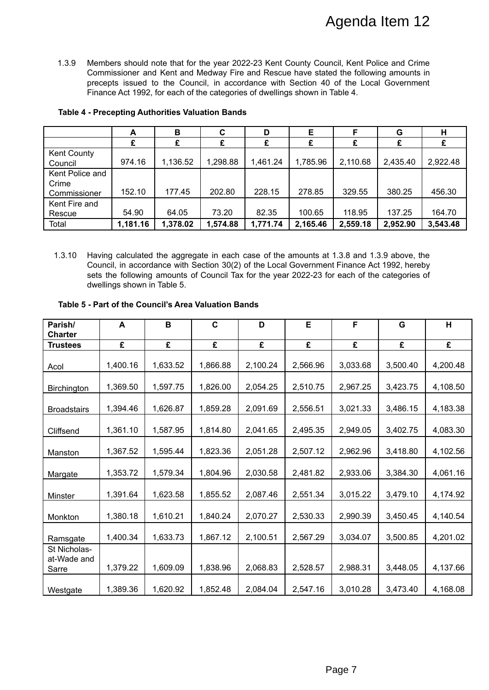|                               | A        | в        | C        |          | Е        |          | G        | н        |
|-------------------------------|----------|----------|----------|----------|----------|----------|----------|----------|
|                               |          | £        | £        | £        | £        | £        |          | £        |
| <b>Kent County</b><br>Council | 974.16   | 1,136.52 | 1,298.88 | 1,461.24 | 1,785.96 | 2,110.68 | 2,435.40 | 2,922.48 |
| Kent Police and               |          |          |          |          |          |          |          |          |
| Crime<br>Commissioner         | 152.10   | 177.45   | 202.80   | 228.15   | 278.85   | 329.55   | 380.25   | 456.30   |
| Kent Fire and                 |          |          |          |          |          |          |          |          |
| Rescue                        | 54.90    | 64.05    | 73.20    | 82.35    | 100.65   | 118.95   | 137.25   | 164.70   |
| Total                         | 1,181.16 | 1,378.02 | 1,574.88 | 1,771.74 | 2,165.46 | 2,559.18 | 2,952.90 | 3,543.48 |

#### **Table 4 - Precepting Authorities Valuation Bands**

#### **Table 5 - Part of the Council's Area Valuation Bands**

|                                                                                                                                                                                                                                                                                                                                                                    |                                                                                                                                                                                                                                                                                                                                                                                |          |             |          |          | Agenda Item 12 |          |          |  |  |  |  |  |
|--------------------------------------------------------------------------------------------------------------------------------------------------------------------------------------------------------------------------------------------------------------------------------------------------------------------------------------------------------------------|--------------------------------------------------------------------------------------------------------------------------------------------------------------------------------------------------------------------------------------------------------------------------------------------------------------------------------------------------------------------------------|----------|-------------|----------|----------|----------------|----------|----------|--|--|--|--|--|
| 1.3.9<br>Members should note that for the year 2022-23 Kent County Council, Kent Police and Crime<br>Commissioner and Kent and Medway Fire and Rescue have stated the following amounts in<br>precepts issued to the Council, in accordance with Section 40 of the Local Government<br>Finance Act 1992, for each of the categories of dwellings shown in Table 4. |                                                                                                                                                                                                                                                                                                                                                                                |          |             |          |          |                |          |          |  |  |  |  |  |
| <b>Table 4 - Precepting Authorities Valuation Bands</b>                                                                                                                                                                                                                                                                                                            |                                                                                                                                                                                                                                                                                                                                                                                |          |             |          |          |                |          |          |  |  |  |  |  |
|                                                                                                                                                                                                                                                                                                                                                                    | A                                                                                                                                                                                                                                                                                                                                                                              | В        | C           | D        | E        | F              | G        | н        |  |  |  |  |  |
| Kent County                                                                                                                                                                                                                                                                                                                                                        | £                                                                                                                                                                                                                                                                                                                                                                              | £        | £           | £        | £        | £              | £        | £        |  |  |  |  |  |
| Council                                                                                                                                                                                                                                                                                                                                                            | 974.16                                                                                                                                                                                                                                                                                                                                                                         | 1,136.52 | 1,298.88    | 1,461.24 | 1,785.96 | 2,110.68       | 2,435.40 | 2,922.48 |  |  |  |  |  |
| Kent Police and<br>Crime                                                                                                                                                                                                                                                                                                                                           |                                                                                                                                                                                                                                                                                                                                                                                |          |             |          |          |                |          |          |  |  |  |  |  |
| Commissioner<br>Kent Fire and                                                                                                                                                                                                                                                                                                                                      | 152.10                                                                                                                                                                                                                                                                                                                                                                         | 177.45   | 202.80      | 228.15   | 278.85   | 329.55         | 380.25   | 456.30   |  |  |  |  |  |
| Rescue                                                                                                                                                                                                                                                                                                                                                             | 54.90                                                                                                                                                                                                                                                                                                                                                                          | 64.05    | 73.20       | 82.35    | 100.65   | 118.95         | 137.25   | 164.70   |  |  |  |  |  |
| Total                                                                                                                                                                                                                                                                                                                                                              | 1,181.16                                                                                                                                                                                                                                                                                                                                                                       | 1,378.02 | 1,574.88    | 1,771.74 | 2,165.46 | 2,559.18       | 2,952.90 | 3,543.48 |  |  |  |  |  |
| 1.3.10                                                                                                                                                                                                                                                                                                                                                             | Having calculated the aggregate in each case of the amounts at 1.3.8 and 1.3.9 above, the<br>Council, in accordance with Section 30(2) of the Local Government Finance Act 1992, hereby<br>sets the following amounts of Council Tax for the year 2022-23 for each of the categories of<br>dwellings shown in Table 5.<br>Table 5 - Part of the Council's Area Valuation Bands |          |             |          |          |                |          |          |  |  |  |  |  |
| Parish/<br><b>Charter</b>                                                                                                                                                                                                                                                                                                                                          | A                                                                                                                                                                                                                                                                                                                                                                              | В        | $\mathbf c$ | D        | Е        | F              | G        | H        |  |  |  |  |  |
| <b>Trustees</b>                                                                                                                                                                                                                                                                                                                                                    | £                                                                                                                                                                                                                                                                                                                                                                              | £        | £           | £        | £        | £              | £        | £        |  |  |  |  |  |
| Acol                                                                                                                                                                                                                                                                                                                                                               | 1,400.16                                                                                                                                                                                                                                                                                                                                                                       | 1,633.52 | 1,866.88    | 2,100.24 | 2,566.96 | 3,033.68       | 3,500.40 | 4,200.48 |  |  |  |  |  |
| Birchington                                                                                                                                                                                                                                                                                                                                                        | 1,369.50                                                                                                                                                                                                                                                                                                                                                                       | 1,597.75 | 1,826.00    | 2,054.25 | 2,510.75 | 2,967.25       | 3,423.75 | 4,108.50 |  |  |  |  |  |
| <b>Broadstairs</b>                                                                                                                                                                                                                                                                                                                                                 | 1,394.46                                                                                                                                                                                                                                                                                                                                                                       | 1,626.87 | 1,859.28    | 2,091.69 | 2,556.51 | 3,021.33       | 3,486.15 | 4,183.38 |  |  |  |  |  |
| Cliffsend                                                                                                                                                                                                                                                                                                                                                          | 1,361.10                                                                                                                                                                                                                                                                                                                                                                       | 1,587.95 | 1,814.80    | 2,041.65 | 2,495.35 | 2,949.05       | 3,402.75 | 4,083.30 |  |  |  |  |  |
| Manston                                                                                                                                                                                                                                                                                                                                                            | 1,367.52                                                                                                                                                                                                                                                                                                                                                                       | 1,595.44 | 1,823.36    | 2,051.28 | 2,507.12 | 2,962.96       | 3,418.80 | 4,102.56 |  |  |  |  |  |
| Margate                                                                                                                                                                                                                                                                                                                                                            | 1,353.72                                                                                                                                                                                                                                                                                                                                                                       | 1,579.34 | 1,804.96    | 2,030.58 | 2,481.82 | 2,933.06       | 3,384.30 | 4,061.16 |  |  |  |  |  |
| <b>Minster</b>                                                                                                                                                                                                                                                                                                                                                     | 1,391.64                                                                                                                                                                                                                                                                                                                                                                       | 1,623.58 | 1,855.52    | 2,087.46 | 2,551.34 | 3,015.22       | 3,479.10 | 4,174.92 |  |  |  |  |  |
| Monkton                                                                                                                                                                                                                                                                                                                                                            | 1,380.18                                                                                                                                                                                                                                                                                                                                                                       | 1,610.21 | 1,840.24    | 2,070.27 | 2,530.33 | 2,990.39       | 3,450.45 | 4,140.54 |  |  |  |  |  |
| Ramsgate                                                                                                                                                                                                                                                                                                                                                           | 1,400.34                                                                                                                                                                                                                                                                                                                                                                       | 1,633.73 | 1,867.12    | 2,100.51 | 2,567.29 | 3,034.07       | 3,500.85 | 4,201.02 |  |  |  |  |  |
| St Nicholas-<br>at-Wade and<br>Sarre                                                                                                                                                                                                                                                                                                                               | 1,379.22                                                                                                                                                                                                                                                                                                                                                                       | 1,609.09 | 1,838.96    | 2,068.83 | 2,528.57 | 2,988.31       | 3,448.05 | 4,137.66 |  |  |  |  |  |
| Westgate                                                                                                                                                                                                                                                                                                                                                           | 1,389.36                                                                                                                                                                                                                                                                                                                                                                       | 1,620.92 | 1,852.48    | 2,084.04 | 2,547.16 | 3,010.28       | 3,473.40 | 4,168.08 |  |  |  |  |  |
|                                                                                                                                                                                                                                                                                                                                                                    |                                                                                                                                                                                                                                                                                                                                                                                |          |             |          |          | Page 7         |          |          |  |  |  |  |  |